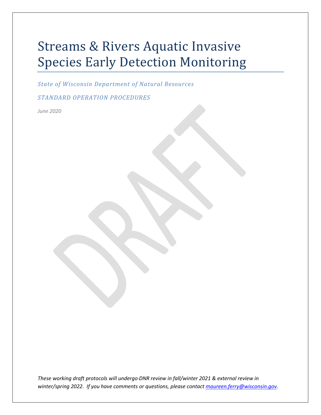# Streams & Rivers Aquatic Invasive Species Early Detection Monitoring

*State of Wisconsin Department of Natural Resources*

*STANDARD OPERATION PROCEDURES*

*June 2020*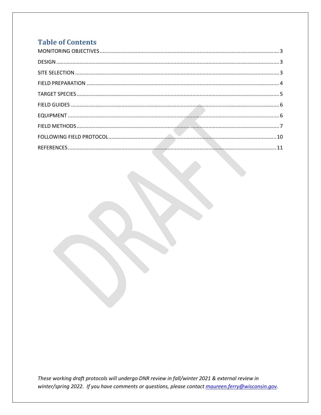## **Table of Contents**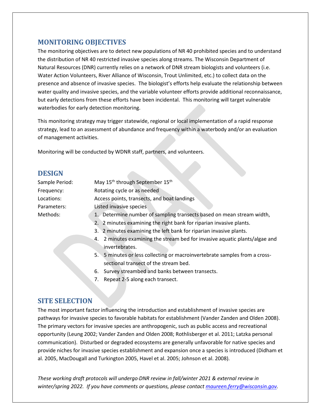## <span id="page-2-0"></span>**MONITORING OBJECTIVES**

The monitoring objectives are to detect new populations of NR 40 prohibited species and to understand the distribution of NR 40 restricted invasive species along streams. The Wisconsin Department of Natural Resources (DNR) currently relies on a network of DNR stream biologists and volunteers (i.e. Water Action Volunteers, River Alliance of Wisconsin, Trout Unlimited, etc.) to collect data on the presence and absence of invasive species. The biologist's efforts help evaluate the relationship between water quality and invasive species, and the variable volunteer efforts provide additional reconnaissance, but early detections from these efforts have been incidental. This monitoring will target vulnerable waterbodies for early detection monitoring.

This monitoring strategy may trigger statewide, regional or local implementation of a rapid response strategy, lead to an assessment of abundance and frequency within a waterbody and/or an evaluation of management activities.

Monitoring will be conducted by WDNR staff, partners, and volunteers.

## <span id="page-2-1"></span>**DESIGN**

| Sample Period: | May 15 <sup>th</sup> through September 15 <sup>th</sup>               |  |  |
|----------------|-----------------------------------------------------------------------|--|--|
| Frequency:     | Rotating cycle or as needed                                           |  |  |
| Locations:     | Access points, transects, and boat landings                           |  |  |
| Parameters:    | Listed invasive species                                               |  |  |
| Methods:       | 1. Determine number of sampling transects based on mean stream width, |  |  |
|                | 2. 2 minutes examining the right bank for riparian invasive plants.   |  |  |
|                | 3. 2 minutes examining the left bank for riparian invasive plants.    |  |  |

- 4. 2 minutes examining the stream bed for invasive aquatic plants/algae and invertebrates.
- 5. 5 minutes or less collecting or macroinvertebrate samples from a crosssectional transect of the stream bed.
- 6. Survey streambed and banks between transects.
- 7. Repeat 2-5 along each transect.

## <span id="page-2-2"></span>**SITE SELECTION**

The most important factor influencing the introduction and establishment of invasive species are pathways for invasive species to favorable habitats for establishment (Vander Zanden and Olden 2008). The primary vectors for invasive species are anthropogenic, such as public access and recreational opportunity (Leung 2002; Vander Zanden and Olden 2008; Rothlisberger et al. 2011; Latzka personal communication). Disturbed or degraded ecosystems are generally unfavorable for native species and provide niches for invasive species establishment and expansion once a species is introduced (Didham et al. 2005, MacDougall and Turkington 2005, Havel et al. 2005; Johnson et al. 2008).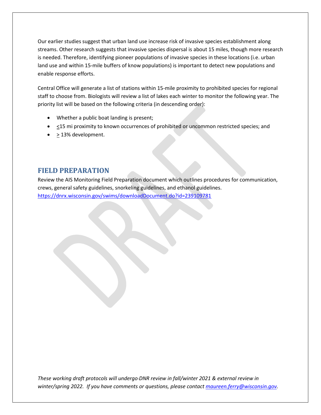Our earlier studies suggest that urban land use increase risk of invasive species establishment along streams. Other research suggests that invasive species dispersal is about 15 miles, though more research is needed. Therefore, identifying pioneer populations of invasive species in these locations (i.e. urban land use and within 15-mile buffers of know populations) is important to detect new populations and enable response efforts.

Central Office will generate a list of stations within 15-mile proximity to prohibited species for regional staff to choose from. Biologists will review a list of lakes each winter to monitor the following year. The priority list will be based on the following criteria (in descending order):

- Whether a public boat landing is present;
- $\bullet$   $\leq$ 15 mi proximity to known occurrences of prohibited or uncommon restricted species; and
- $\bullet$  > 13% development.

## <span id="page-3-0"></span>**FIELD PREPARATION**

Review the AIS Monitoring Field Preparation document which outlines procedures for communication, crews, general safety guidelines, snorkeling guidelines, and ethanol guidelines. <https://dnrx.wisconsin.gov/swims/downloadDocument.do?id=239109781>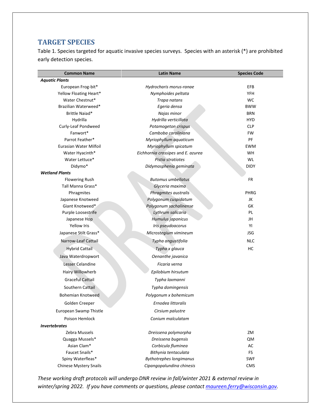## <span id="page-4-0"></span>**TARGET SPECIES**

Table 1. Species targeted for aquatic invasive species surveys. Species with an asterisk (\*) are prohibited early detection species.

| <b>Common Name</b>                 | <b>Latin Name</b>                  | <b>Species Code</b> |
|------------------------------------|------------------------------------|---------------------|
| <b>Aquatic Plants</b>              |                                    |                     |
| European Frog-bit*                 | Hydrocharis morus-ranae            | EFB                 |
| Yellow Floating Heart*             | Nymphoides peltata                 | <b>YFH</b>          |
| Water Chestnut*                    | Trapa natans                       | <b>WC</b>           |
| Brazilian Waterweed*               | Egeria densa                       | <b>BWW</b>          |
| Brittle Naiad*                     | Najas minor                        | <b>BRN</b>          |
| Hydrilla                           | Hydrilla verticillata              | <b>HYD</b>          |
| Curly-Leaf Pondweed                | Potamogeton crispus                | <b>CLP</b>          |
| Fanwort*                           | Camboba caroliniana                | FW                  |
| Parrot Feather*                    | Myriophyllum aquaticum             | PF                  |
| Eurasian Water Milfoil             | Myriophyllum spicatum              | <b>EWM</b>          |
| Water Hyacinth*                    | Eichhornia crassipes and E. azurea | <b>WH</b>           |
| Water Lettuce*                     | Pistia stratiotes                  | WL                  |
| Didymo*                            | Didymosphenia geminata             | <b>DIDY</b>         |
| <b>Wetland Plants</b>              |                                    |                     |
| <b>Flowering Rush</b>              | <b>Butomus umbellatus</b>          | FR                  |
| Tall Manna Grass*                  | Glyceria maxima                    |                     |
| Phragmites                         | Phragmites australis               | PHRG                |
| Japanese Knotweed                  | Polygonum cuspidatum               | JK                  |
| Giant Knotweed*                    | Polygonum sachalinense             | GK                  |
| Purple Loosestrife                 | Lythrum salicaria                  | PL                  |
| Japanese Hop                       | Humulus japonicus                  | JH                  |
| <b>Yellow Iris</b>                 | Iris pseudoacorus                  | YI                  |
| Japanese Stilt Grass*              | Microstegium vimineum              | <b>JSG</b>          |
| Narrow-Leaf Cattail                | Typha angustifolia                 | <b>NLC</b>          |
| <b>Hybrid Cattail</b>              | Typha x glauca                     | HC                  |
| Java Waterdropwort                 | Oenanthe javanica                  |                     |
| Lesser Celandine                   | Ficaria verna                      |                     |
| Hairy Willowherb                   | Epilobium hirsutum                 |                     |
| <b>Graceful Cattail</b>            | Typha laxmanni                     |                     |
| Southern Cattail                   | Typha domingensis                  |                     |
| <b>Bohemian Knotweed</b>           | Polygonum x bohemicum              |                     |
| Golden Creeper                     | Ernodea littoralis                 |                     |
| European Swamp Thistle             | Cirsium palustre                   |                     |
| Poison Hemlock                     | Conium malculatam                  |                     |
| <i><u><b>Invertebrates</b></u></i> |                                    |                     |
| Zebra Mussels                      | Dreissena polymorpha               | ΖM                  |
| Quagga Mussels*                    | Dreissena bugensis                 | <b>QM</b>           |
| Asian Clam*                        | Corbicula fluminea                 | AC                  |
| Faucet Snails*                     | Bithynia tentaculata               | FS                  |
| Spiny Waterfleas*                  | <b>Bythotrephes longimanus</b>     | <b>SWF</b>          |
| <b>Chinese Mystery Snails</b>      | Cipangopalundina chinesis          | CMS                 |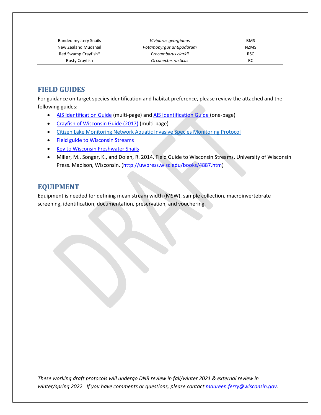| <b>Banded mystery Snails</b> | Viviparus georgianus     | <b>BMS</b>  |
|------------------------------|--------------------------|-------------|
| New Zealand Mudsnail         | Potamopyrgus antipodarum | <b>NZMS</b> |
| Red Swamp Crayfish*          | Procambarus clarkii      | <b>RSC</b>  |
| Rusty Crayfish               | Orconectes rusticus      | RC          |

## <span id="page-5-0"></span>**FIELD GUIDES**

For guidance on target species identification and habitat preference, please review the attached and the following guides:

- [AIS Identification Guide](https://dnrx.wisconsin.gov/swims/downloadDocument.do?id=191057878) (multi-page) an[d AIS Identification Guide \(](https://dnrx.wisconsin.gov/swims/downloadDocument.do?id=145709797)one-page)
- [Crayfish of Wisconsin Guide \(2017\)](https://dnrx.wisconsin.gov/swims/downloadDocument.do?id=145709811) (multi-page)
- [Citizen Lake Monitoring Network Aquatic Invasive Species Monitoring](https://www.uwsp.edu/cnr-ap/UWEXLakes/Pages/programs/clmn/AIS.aspx) Protocol
- [Field guide to Wisconsin Streams](http://uwpress.wisc.edu/books/4887.htm)
- [Key to Wisconsin Freshwater Snails](http://northamericanlandsnails.org/WIFreshwaterSnailskey/wifwsnailkey.html)
- Miller, M., Songer, K., and Dolen, R. 2014. Field Guide to Wisconsin Streams. University of Wisconsin Press. Madison, Wisconsin. [\(http://uwpress.wisc.edu/books/4887.htm\)](http://uwpress.wisc.edu/books/4887.htm)

## <span id="page-5-1"></span>**EQUIPMENT**

Equipment is needed for defining mean stream width (MSW), sample collection, macroinvertebrate screening, identification, documentation, preservation, and vouchering.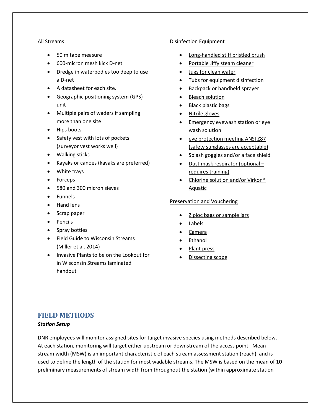#### All Streams

- 50 m tape measure
- 600-micron mesh kick D-net
- Dredge in waterbodies too deep to use a D-net
- A datasheet for each site.
- Geographic positioning system (GPS) unit
- Multiple pairs of waders if sampling more than one site
- Hips boots
- Safety vest with lots of pockets (surveyor vest works well)
- Walking sticks
- Kayaks or canoes (kayaks are preferred)
- White trays
- Forceps
- 580 and 300 micron sieves
- Funnels
- Hand lens
- Scrap paper
- Pencils
- Spray bottles
- Field Guide to Wisconsin Streams (Miller et al. 2014)
- Invasive Plants to be on the Lookout for in Wisconsin Streams laminated handout

#### Disinfection Equipment

- Long-handled stiff bristled brush
- Portable Jiffy steam cleaner
- Jugs for clean water
- Tubs for equipment disinfection
- Backpack or handheld sprayer
- Bleach solution
- Black plastic bags
- Nitrile gloves
- Emergency eyewash station or eye wash solution
- eye protection meeting ANSI Z87 (safety sunglasses are acceptable)
- Splash goggles and/or a face shield
- Dust mask respirator (optional requires training)
- Chlorine solution and/or Virkon<sup>®</sup> Aquatic

#### Preservation and Vouchering

- Ziploc bags or sample jars
- Labels
- Camera
- **Ethanol**
- Plant press
- <span id="page-6-0"></span>• Dissecting scope

## **FIELD METHODS**

#### *Station Setup*

DNR employees will monitor assigned sites for target invasive species using methods described below. At each station, monitoring will target either upstream or downstream of the access point. Mean stream width (MSW) is an important characteristic of each stream assessment station (reach), and is used to define the length of the station for most wadable streams. The MSW is based on the mean of **10**  preliminary measurements of stream width from throughout the station (within approximate station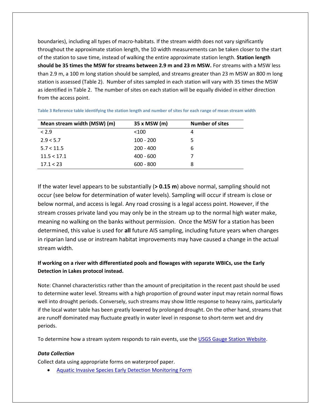boundaries), including all types of macro-habitats. If the stream width does not vary significantly throughout the approximate station length, the 10 width measurements can be taken closer to the start of the station to save time, instead of walking the entire approximate station length. **Station length should be 35 times the MSW for streams between 2.9 m and 23 m MSW.** For streams with a MSW less than 2.9 m, a 100 m long station should be sampled, and streams greater than 23 m MSW an 800 m long station is assessed (Table 2). Number of sites sampled in each station will vary with 35 times the MSW as identified in Table 2. The number of sites on each station will be equally divided in either direction from the access point.

| Mean stream width (MSW) (m) | 35 x MSW (m) | <b>Number of sites</b> |
|-----------------------------|--------------|------------------------|
| < 2.9                       | $<$ 100      | 4                      |
| 2.9 < 5.7                   | $100 - 200$  | 5                      |
| 5.7 < 11.5                  | $200 - 400$  | 6                      |
| 11.5 < 17.1                 | $400 - 600$  |                        |
| 17.1 < 23                   | $600 - 800$  | 8                      |

**Table 3 Reference table identifying the station length and number of sites for each range of mean stream width**

If the water level appears to be substantially (**> 0.15 m**) above normal, sampling should not occur (see below for determination of water levels). Sampling will occur if stream is close or below normal, and access is legal. Any road crossing is a legal access point. However, if the stream crosses private land you may only be in the stream up to the normal high water make, meaning no walking on the banks without permission. Once the MSW for a station has been determined, this value is used for **all** future AIS sampling, including future years when changes in riparian land use or instream habitat improvements may have caused a change in the actual stream width.

#### **If working on a river with differentiated pools and flowages with separate WBICs, use the Early Detection in Lakes protocol instead.**

Note: Channel characteristics rather than the amount of precipitation in the recent past should be used to determine water level. Streams with a high proportion of ground water input may retain normal flows well into drought periods. Conversely, such streams may show little response to heavy rains, particularly if the local water table has been greatly lowered by prolonged drought. On the other hand, streams that are runoff dominated may fluctuate greatly in water level in response to short-term wet and dry periods.

To determine how a stream system responds to rain events, use the [USGS Gauge Station Website.](https://waterdata.usgs.gov/wi/nwis/rt)

#### *Data Collection*

Collect data using appropriate forms on waterproof paper.

• [Aquatic Invasive Species Early Detection Monitoring Form](https://dnrx.wisconsin.gov/swims/downloadDocument.do?id=188257948)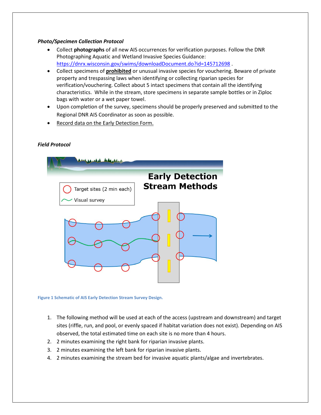#### *Photo/Specimen Collection Protocol*

- Collect **photographs** of all new AIS occurrences for verification purposes. Follow the DNR Photographing Aquatic and Wetland Invasive Species Guidance: <https://dnrx.wisconsin.gov/swims/downloadDocument.do?id=145712698>
- Collect specimens of **prohibited** or unusual invasive species for vouchering. Beware of private property and trespassing laws when identifying or collecting riparian species for verification/vouchering. Collect about 5 intact specimens that contain all the identifying characteristics. While in the stream, store specimens in separate sample bottles or in Ziploc bags with water or a wet paper towel.
- Upon completion of the survey, specimens should be properly preserved and submitted to the Regional DNR AIS Coordinator as soon as possible.
- Record data on the Early Detection Form.

#### *Field Protocol*



**Figure 1 Schematic of AIS Early Detection Stream Survey Design.**

- 1. The following method will be used at each of the access (upstream and downstream) and target sites (riffle, run, and pool, or evenly spaced if habitat variation does not exist). Depending on AIS observed, the total estimated time on each site is no more than 4 hours.
- 2. 2 minutes examining the right bank for riparian invasive plants.
- 3. 2 minutes examining the left bank for riparian invasive plants.
- 4. 2 minutes examining the stream bed for invasive aquatic plants/algae and invertebrates.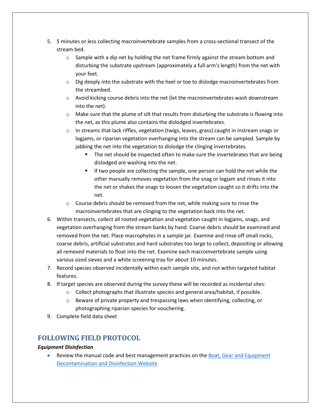- 5. 5 minutes or less collecting macroinvertebrate samples from a cross-sectional transect of the stream bed.
	- $\circ$  Sample with a dip net by holding the net frame firmly against the stream bottom and disturbing the substrate upstream (approximately a full arm's length) from the net with your feet.
	- $\circ$  Dig deeply into the substrate with the heel or toe to dislodge macroinvertebrates from the streambed.
	- $\circ$  Avoid kicking course debris into the net (let the macroinvertebrates wash downstream into the net).
	- $\circ$  Make sure that the plume of silt that results from disturbing the substrate is flowing into the net, as this plume also contains the dislodged invertebrates.
	- $\circ$  In streams that lack riffles, vegetation (twigs, leaves, grass) caught in instream snags or logjams, or riparian vegetation overhanging into the stream can be sampled. Sample by jabbing the net into the vegetation to dislodge the clinging invertebrates.
		- The net should be inspected often to make sure the invertebrates that are being dislodged are washing into the net.
		- If two people are collecting the sample, one person can hold the net while the other manually removes vegetation from the snag or logjam and rinses it into the net or shakes the snags to loosen the vegetation caught so it drifts into the net.
	- $\circ$  Course debris should be removed from the net, while making sure to rinse the macroinvertebrates that are clinging to the vegetation back into the net.
- 6. Within transects, collect all rooted vegetation and vegetation caught in logjams, snags, and vegetation overhanging from the stream banks by hand. Coarse debris should be examined and removed from the net. Place macrophytes in a sample jar. Examine and rinse off small rocks, coarse debris, artificial substrates and hard substrates too large to collect, depositing or allowing all removed materials to float into the net. Examine each macroinvertebrate sample using various sized sieves and a white screening tray for about 10 minutes.
- 7. Record species observed incidentally within each sample site, and not within targeted habitat features.
- 8. If target species are observed during the survey these will be recorded as incidental sites:
	- o Collect photographs that illustrate species and general area/habitat, if possible.
	- $\circ$  Beware of private property and trespassing laws when identifying, collecting, or photographing riparian species for vouchering.
- 9. Complete field data sheet

## <span id="page-9-0"></span>**FOLLOWING FIELD PROTOCOL**

#### *Equipment Disinfection*

• Review the manual code and best management practices on th[e Boat, Gear and Equipment](http://dnr.wi.gov/topic/invasives/disinfection.html)  [Decontamination and Disinfection Website](http://dnr.wi.gov/topic/invasives/disinfection.html)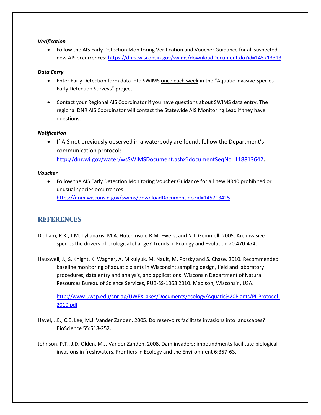#### *Verification*

• Follow the AIS Early Detection Monitoring Verification and Voucher Guidance for all suspected new AIS occurrences:<https://dnrx.wisconsin.gov/swims/downloadDocument.do?id=145713313>

#### *Data Entry*

- Enter Early Detection form data into SWIMS once each week in the "Aquatic Invasive Species Early Detection Surveys" project.
- Contact your Regional AIS Coordinator if you have questions about SWIMS data entry. The regional DNR AIS Coordinator will contact the Statewide AIS Monitoring Lead if they have questions.

#### *Notification*

• If AIS not previously observed in a waterbody are found, follow the Department's communication protocol:

[http://dnr.wi.gov/water/wsSWIMSDocument.ashx?documentSeqNo=118813642.](http://dnr.wi.gov/water/wsSWIMSDocument.ashx?documentSeqNo=118813642)

#### *Voucher*

• Follow the AIS Early Detection Monitoring Voucher Guidance for all new NR40 prohibited or unusual species occurrences: <https://dnrx.wisconsin.gov/swims/downloadDocument.do?id=145713415>

## <span id="page-10-0"></span>**REFERENCES**

- Didham, R.K., J.M. Tylianakis, M.A. Hutchinson, R.M. Ewers, and N.J. Gemmell. 2005. Are invasive species the drivers of ecological change? Trends in Ecology and Evolution 20:470-474.
- Hauxwell, J., S. Knight, K. Wagner, A. Mikulyuk, M. Nault, M. Porzky and S. Chase. 2010. Recommended baseline monitoring of aquatic plants in Wisconsin: sampling design, field and laboratory procedures, data entry and analysis, and applications. Wisconsin Department of Natural Resources Bureau of Science Services, PUB-SS-1068 2010. Madison, Wisconsin, USA.

[http://www.uwsp.edu/cnr-ap/UWEXLakes/Documents/ecology/Aquatic%20Plants/PI-Protocol-](http://www.uwsp.edu/cnr-ap/UWEXLakes/Documents/ecology/Aquatic%20Plants/PI-Protocol-2010.pdf)[2010.pdf](http://www.uwsp.edu/cnr-ap/UWEXLakes/Documents/ecology/Aquatic%20Plants/PI-Protocol-2010.pdf)

- Havel, J.E., C.E. Lee, M.J. Vander Zanden. 2005. Do reservoirs facilitate invasions into landscapes? BioScience 55:518-252.
- Johnson, P.T., J.D. Olden, M.J. Vander Zanden. 2008. Dam invaders: impoundments facilitate biological invasions in freshwaters. Frontiers in Ecology and the Environment 6:357-63.